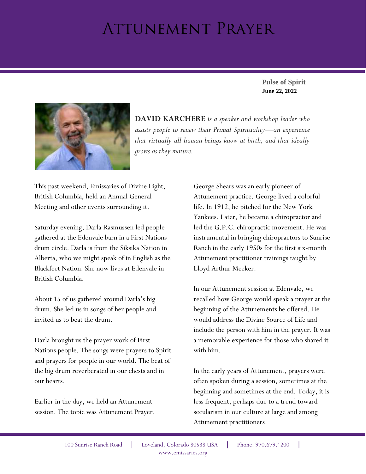## Attunement Prayer

**June 22, 2022 Pulse of Spirit**



**DAVID KARCHERE** *is a speaker and workshop leader who assists people to renew their Primal Spirituality—an experience that virtually all human beings know at birth, and that ideally grows as they mature.*

This past weekend, Emissaries of Divine Light, British Columbia, held an Annual General Meeting and other events surrounding it.

Saturday evening, Darla Rasmussen led people gathered at the Edenvale barn in a First Nations drum circle. Darla is from the Siksika Nation in Alberta, who we might speak of in English as the Blackfeet Nation. She now lives at Edenvale in British Columbia.

About 15 of us gathered around Darla's big drum. She led us in songs of her people and invited us to beat the drum.

Darla brought us the prayer work of First Nations people. The songs were prayers to Spirit and prayers for people in our world. The beat of the big drum reverberated in our chests and in our hearts.

Earlier in the day, we held an Attunement session. The topic was Attunement Prayer. George Shears was an early pioneer of Attunement practice. George lived a colorful life. In 1912, he pitched for the New York Yankees. Later, he became a chiropractor and led the G.P.C. chiropractic movement. He was instrumental in bringing chiropractors to Sunrise Ranch in the early 1950s for the first six-month Attunement practitioner trainings taught by Lloyd Arthur Meeker.

In our Attunement session at Edenvale, we recalled how George would speak a prayer at the beginning of the Attunements he offered. He would address the Divine Source of Life and include the person with him in the prayer. It was a memorable experience for those who shared it with him.

In the early years of Attunement, prayers were often spoken during a session, sometimes at the beginning and sometimes at the end. Today, it is less frequent, perhaps due to a trend toward secularism in our culture at large and among Attunement practitioners.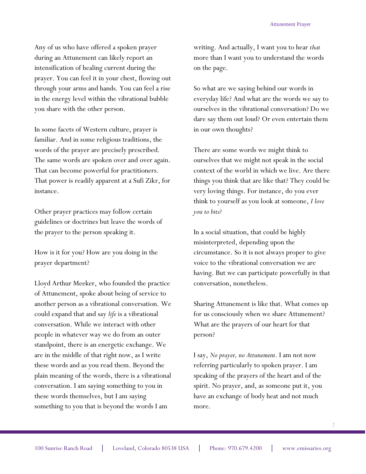Any of us who have offered a spoken prayer during an Attunement can likely report an intensification of healing current during the prayer. You can feel it in your chest, flowing out through your arms and hands. You can feel a rise in the energy level within the vibrational bubble you share with the other person.

In some facets of Western culture, prayer is familiar. And in some religious traditions, the words of the prayer are precisely prescribed. The same words are spoken over and over again. That can become powerful for practitioners. That power is readily apparent at a Sufi Zikr, for instance.

Other prayer practices may follow certain guidelines or doctrines but leave the words of the prayer to the person speaking it.

How is it for you? How are you doing in the prayer department?

Lloyd Arthur Meeker, who founded the practice of Attunement, spoke about being of service to another person as a vibrational conversation. We could expand that and say *life* is a vibrational conversation. While we interact with other people in whatever way we do from an outer standpoint, there is an energetic exchange. We are in the middle of that right now, as I write these words and as you read them. Beyond the plain meaning of the words, there is a vibrational conversation. I am saying something to you in these words themselves, but I am saying something to you that is beyond the words I am

writing. And actually, I want you to hear *that* more than I want you to understand the words on the page.

So what are we saying behind our words in everyday life? And what are the words we say to ourselves in the vibrational conversation? Do we dare say them out loud? Or even entertain them in our own thoughts?

There are some words we might think to ourselves that we might not speak in the social context of the world in which we live. Are there things you think that are like that? They could be very loving things. For instance, do you ever think to yourself as you look at someone, *I love you to bits?* 

In a social situation, that could be highly misinterpreted, depending upon the circumstance. So it is not always proper to give voice to the vibrational conversation we are having. But we can participate powerfully in that conversation, nonetheless.

Sharing Attunement is like that. What comes up for us consciously when we share Attunement? What are the prayers of our heart for that person?

I say, *No prayer, no Attunement.* I am not now referring particularly to spoken prayer. I am speaking of the prayers of the heart and of the spirit. No prayer, and, as someone put it, you have an exchange of body heat and not much more.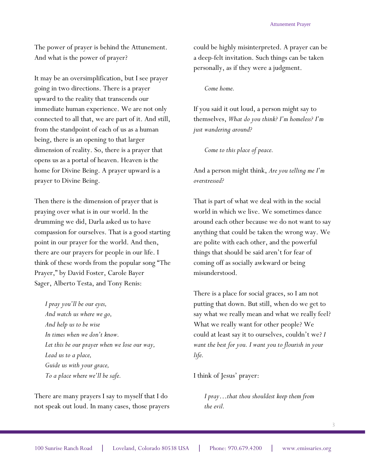The power of prayer is behind the Attunement. And what is the power of prayer?

It may be an oversimplification, but I see prayer going in two directions. There is a prayer upward to the reality that transcends our immediate human experience. We are not only connected to all that, we are part of it. And still, from the standpoint of each of us as a human being, there is an opening to that larger dimension of reality. So, there is a prayer that opens us as a portal of heaven. Heaven is the home for Divine Being. A prayer upward is a prayer to Divine Being.

Then there is the dimension of prayer that is praying over what is in our world. In the drumming we did, Darla asked us to have compassion for ourselves. That is a good starting point in our prayer for the world. And then, there are our prayers for people in our life. I think of these words from the popular song "The Prayer," by David Foster, Carole Bayer Sager, Alberto Testa, and Tony Renis:

*I pray you'll be our eyes, And watch us where we go, And help us to be wise In times when we don't know. Let this be our prayer when we lose our way, Lead us to a place, Guide us with your grace, To a place where we'll be safe.*

There are many prayers I say to myself that I do not speak out loud. In many cases, those prayers could be highly misinterpreted. A prayer can be a deep-felt invitation. Such things can be taken personally, as if they were a judgment.

## *Come home.*

If you said it out loud, a person might say to themselves, *What do you think? I'm homeless? I'm just wandering around?*

*Come to this place of peace.*

And a person might think, *Are you telling me I'm overstressed?* 

That is part of what we deal with in the social world in which we live. We sometimes dance around each other because we do not want to say anything that could be taken the wrong way. We are polite with each other, and the powerful things that should be said aren't for fear of coming off as socially awkward or being misunderstood.

There is a place for social graces, so I am not putting that down. But still, when do we get to say what we really mean and what we really feel? What we really want for other people? We could at least say it to ourselves, couldn't we? *I want the best for you. I want you to flourish in your life.*

I think of Jesus' prayer:

*I pray…that thou shouldest keep them from the evil.*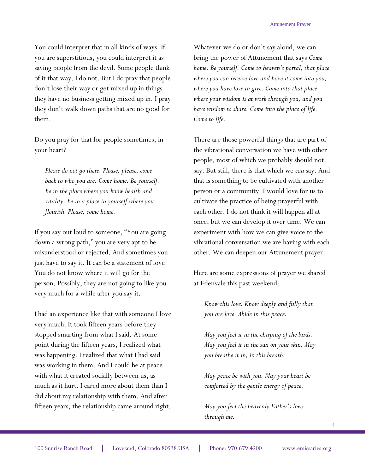You could interpret that in all kinds of ways. If you are superstitious, you could interpret it as saving people from the devil. Some people think of it that way. I do not. But I do pray that people don't lose their way or get mixed up in things they have no business getting mixed up in. I pray they don't walk down paths that are no good for them.

Do you pray for that for people sometimes, in your heart?

*Please do not go there. Please, please, come back to who you are. Come home. Be yourself. Be in the place where you know health and vitality. Be in a place in yourself where you flourish. Please, come home.*

If you say out loud to someone, "You are going down a wrong path," you are very apt to be misunderstood or rejected. And sometimes you just have to say it. It can be a statement of love. You do not know where it will go for the person. Possibly, they are not going to like you very much for a while after you say it.

I had an experience like that with someone I love very much. It took fifteen years before they stopped smarting from what I said. At some point during the fifteen years, I realized what was happening. I realized that what I had said was working in them. And I could be at peace with what it created socially between us, as much as it hurt. I cared more about them than I did about my relationship with them. And after fifteen years, the relationship came around right.

Whatever we do or don't say aloud, we can bring the power of Attunement that says *Come home. Be yourself. Come to heaven's portal, that place where you can receive love and have it come into you, where you have love to give. Come into that place where your wisdom is at work through you, and you have wisdom to share. Come into the place of life. Come to life.* 

There are those powerful things that are part of the vibrational conversation we have with other people, most of which we probably should not say. But still, there is that which we *can* say. And that is something to be cultivated with another person or a community. I would love for us to cultivate the practice of being prayerful with each other. I do not think it will happen all at once, but we can develop it over time. We can experiment with how we can give voice to the vibrational conversation we are having with each other. We can deepen our Attunement prayer.

Here are some expressions of prayer we shared at Edenvale this past weekend:

*Know this love. Know deeply and fully that you are love. Abide in this peace.*

*May you feel it in the chirping of the birds. May you feel it in the sun on your skin. May you breathe it in, in this breath.* 

*May peace be with you. May your heart be comforted by the gentle energy of peace.* 

*May you feel the heavenly Father's love through me.* 

4